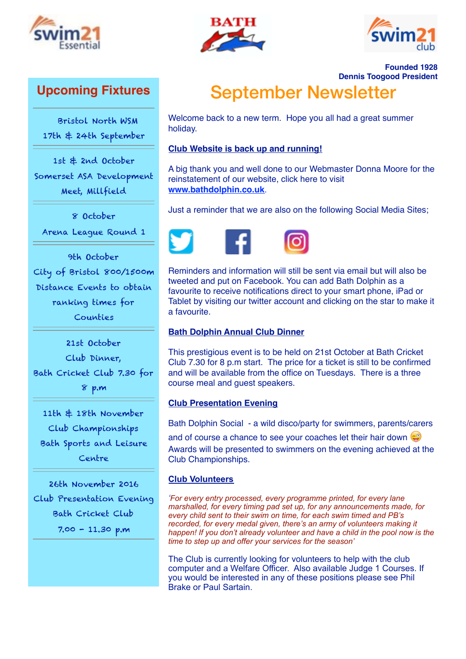





**Founded 1928**

# **Upcoming Fixtures**

 Bristol North WSM 17th & 24th September

1st & 2nd October Somerset ASA Development Meet, Millfield

8 October

Arena League Round 1

9th October City of Bristol 800/1500m Distance Events to obtain ranking times for Counties

21st October Club Dinner, Bath Cricket Club 7.30 for 8 p.m

11th & 18th November Club Championships Bath Sports and Leisure Centre

26th November 2016 Club Presentation Evening Bath Cricket Club 7.00 - 11.30 p.m

**Dennis Toogood President** September Newsletter

Welcome back to a new term. Hope you all had a great summer holiday.

## **Club Website is back up and running!**

A big thank you and well done to our Webmaster Donna Moore for the reinstatement of our website, click here to visit **[www.bathdolphin.co.uk](http://www.bathdolphin.co.uk)**.

Just a reminder that we are also on the following Social Media Sites;



Reminders and information will still be sent via email but will also be tweeted and put on Facebook. You can add Bath Dolphin as a favourite to receive notifications direct to your smart phone, iPad or Tablet by visiting our twitter account and clicking on the star to make it a favourite.

## **Bath Dolphin Annual Club Dinner**

This prestigious event is to be held on 21st October at Bath Cricket Club 7.30 for 8 p.m start. The price for a ticket is still to be confirmed and will be available from the office on Tuesdays. There is a three course meal and guest speakers.

## **Club Presentation Evening**

Bath Dolphin Social - a wild disco/party for swimmers, parents/carers

and of course a chance to see your coaches let their hair down Awards will be presented to swimmers on the evening achieved at the Club Championships.

## **Club Volunteers**

*'For every entry processed, every programme printed, for every lane marshalled, for every timing pad set up, for any announcements made, for every child sent to their swim on time, for each swim timed and PB's recorded, for every medal given, there's an army of volunteers making it happen! If you don't already volunteer and have a child in the pool now is the time to step up and offer your services for the season'* 

The Club is currently looking for volunteers to help with the club computer and a Welfare Officer. Also available Judge 1 Courses. If you would be interested in any of these positions please see Phil Brake or Paul Sartain.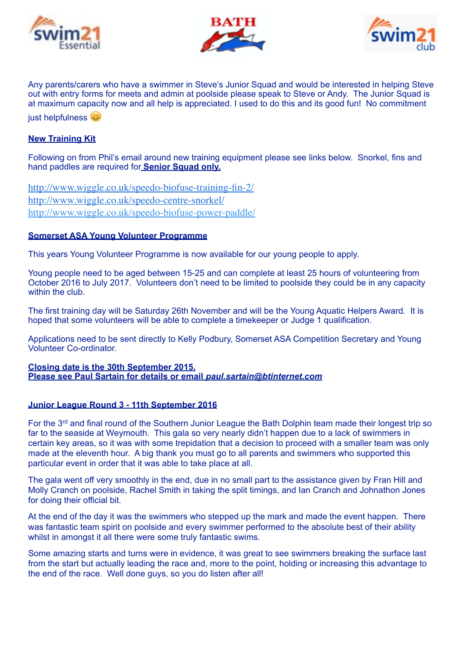





Any parents/carers who have a swimmer in Steve's Junior Squad and would be interested in helping Steve out with entry forms for meets and admin at poolside please speak to Steve or Andy. The Junior Squad is at maximum capacity now and all help is appreciated. I used to do this and its good fun! No commitment iust helpfulness  $\bigoplus$ 

## **New Training Kit**

Following on from Phil's email around new training equipment please see links below. Snorkel, fins and hand paddles are required for **Senior Squad only.** 

<http://www.wiggle.co.uk/speedo-biofuse-training-fin-2/> <http://www.wiggle.co.uk/speedo-centre-snorkel/> <http://www.wiggle.co.uk/speedo-biofuse-power-paddle/>

#### **Somerset ASA Young Volunteer Programme**

This years Young Volunteer Programme is now available for our young people to apply.

Young people need to be aged between 15-25 and can complete at least 25 hours of volunteering from October 2016 to July 2017. Volunteers don't need to be limited to poolside they could be in any capacity within the club.

The first training day will be Saturday 26th November and will be the Young Aquatic Helpers Award. It is hoped that some volunteers will be able to complete a timekeeper or Judge 1 qualification.

Applications need to be sent directly to Kelly Podbury, Somerset ASA Competition Secretary and Young Volunteer Co-ordinator.

#### **Closing date is the 30th September 2015. Please see Paul Sartain for details or email** *[paul.sartain@btinternet.com](mailto:paul.sartain@btinternet.com)*

#### **Junior League Round 3 - 11th September 2016**

For the 3rd and final round of the Southern Junior League the Bath Dolphin team made their longest trip so far to the seaside at Weymouth. This gala so very nearly didn't happen due to a lack of swimmers in certain key areas, so it was with some trepidation that a decision to proceed with a smaller team was only made at the eleventh hour. A big thank you must go to all parents and swimmers who supported this particular event in order that it was able to take place at all.

The gala went off very smoothly in the end, due in no small part to the assistance given by Fran Hill and Molly Cranch on poolside, Rachel Smith in taking the split timings, and Ian Cranch and Johnathon Jones for doing their official bit.

At the end of the day it was the swimmers who stepped up the mark and made the event happen. There was fantastic team spirit on poolside and every swimmer performed to the absolute best of their ability whilst in amongst it all there were some truly fantastic swims.

Some amazing starts and turns were in evidence, it was great to see swimmers breaking the surface last from the start but actually leading the race and, more to the point, holding or increasing this advantage to the end of the race. Well done guys, so you do listen after all!